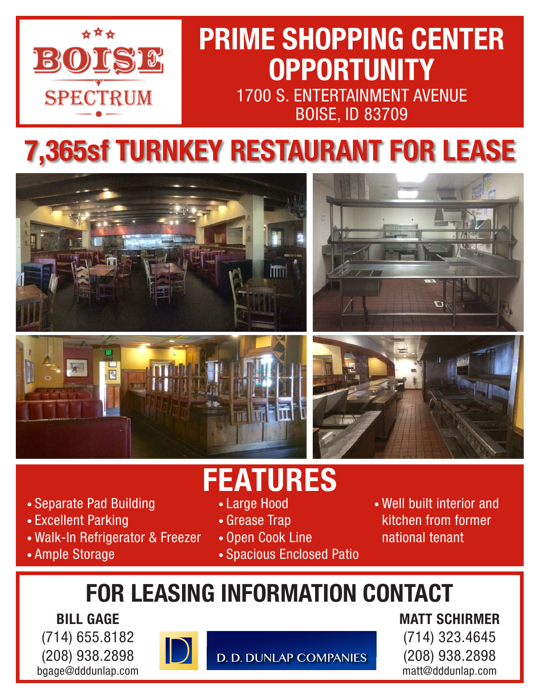

## **PRIME SHOPPING CENTER OPPORTUNITY** 1700 S. ENTERTAINMENT AVENUE BOISE, ID 83709

# **7,365sf TURNKEY RESTAURANT FOR LEASE**



- Separate Pad Building
- Excellent Parking
- Walk-In Refrigerator & Freezer
- Ample Storage
- **FEATURES**
	- Large Hood
	- Grease Trap
	- Open Cook Line
	- Spacious Enclosed Patio
- Well built interior and kitchen from former national tenant

## **FOR LEASING INFORMATION CONTACT**

**BILL GAGE** (714) 655.8182 (208) 938.2898 bgage@dddunlap.com



**D. D. DUNLAP COMPANIES** 

**MATT SCHIRMER** (714) 323.4645 (208) 938.2898 matt@dddunlap.com